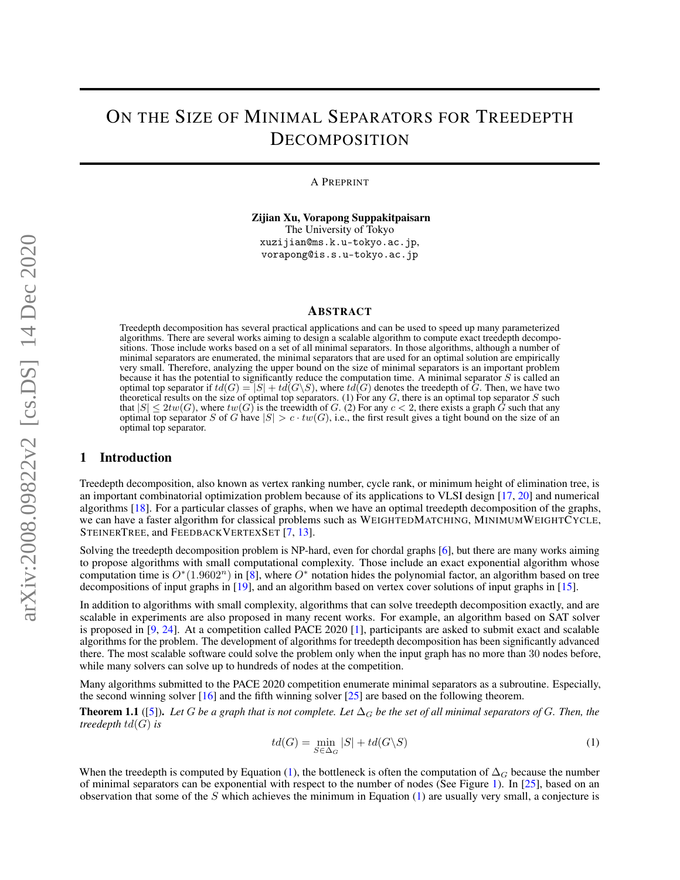# ON THE SIZE OF MINIMAL SEPARATORS FOR TREEDEPTH DECOMPOSITION

A PREPRINT

Zijian Xu, Vorapong Suppakitpaisarn The University of Tokyo xuzijian@ms.k.u-tokyo.ac.jp, vorapong@is.s.u-tokyo.ac.jp

## ABSTRACT

Treedepth decomposition has several practical applications and can be used to speed up many parameterized algorithms. There are several works aiming to design a scalable algorithm to compute exact treedepth decompositions. Those include works based on a set of all minimal separators. In those algorithms, although a number of minimal separators are enumerated, the minimal separators that are used for an optimal solution are empirically very small. Therefore, analyzing the upper bound on the size of minimal separators is an important problem because it has the potential to significantly reduce the computation time. A minimal separator  $S$  is called an optimal top separator if  $td(G) = |S| + td(G\setminus S)$ , where  $td(G)$  denotes the treedepth of G. Then, we have two theoretical results on the size of optimal top separators. (1) For any  $G$ , there is an optimal top separator  $S$  such that  $|S| \leq 2tw(G)$ , where  $tw(G)$  is the treewidth of G. (2) For any  $c < 2$ , there exists a graph G such that any optimal top separator S of G have  $|S| > c \cdot tw(G)$ , i.e., the first result gives a tight bound on the size of an optimal top separator.

# 1 Introduction

Treedepth decomposition, also known as vertex ranking number, cycle rank, or minimum height of elimination tree, is an important combinatorial optimization problem because of its applications to VLSI design [\[17,](#page-12-0) [20\]](#page-12-1) and numerical algorithms [\[18\]](#page-12-2). For a particular classes of graphs, when we have an optimal treedepth decomposition of the graphs, we can have a faster algorithm for classical problems such as WEIGHTEDMATCHING, MINIMUMWEIGHTCYCLE, STEINERTREE, and FEEDBACKVERTEXSET [\[7,](#page-12-3) [13\]](#page-12-4).

Solving the treedepth decomposition problem is NP-hard, even for chordal graphs [\[6\]](#page-12-5), but there are many works aiming to propose algorithms with small computational complexity. Those include an exact exponential algorithm whose computation time is  $O^*(1.9602^n)$  in [\[8\]](#page-12-6), where  $O^*$  notation hides the polynomial factor, an algorithm based on tree decompositions of input graphs in [\[19\]](#page-12-7), and an algorithm based on vertex cover solutions of input graphs in [\[15\]](#page-12-8).

In addition to algorithms with small complexity, algorithms that can solve treedepth decomposition exactly, and are scalable in experiments are also proposed in many recent works. For example, an algorithm based on SAT solver is proposed in [\[9,](#page-12-9) [24\]](#page-12-10). At a competition called PACE 2020 [\[1\]](#page-11-0), participants are asked to submit exact and scalable algorithms for the problem. The development of algorithms for treedepth decomposition has been significantly advanced there. The most scalable software could solve the problem only when the input graph has no more than 30 nodes before, while many solvers can solve up to hundreds of nodes at the competition.

Many algorithms submitted to the PACE 2020 competition enumerate minimal separators as a subroutine. Especially, the second winning solver [\[16\]](#page-12-11) and the fifth winning solver [\[25\]](#page-12-12) are based on the following theorem.

**Theorem 1.1** ([\[5\]](#page-12-13)). Let G be a graph that is not complete. Let  $\Delta_G$  be the set of all minimal separators of G. Then, the *treedepth* td(G) *is*

<span id="page-0-0"></span>
$$
td(G) = \min_{S \in \Delta_G} |S| + td(G \setminus S)
$$
\n(1)

When the treedepth is computed by Equation [\(1\)](#page-0-0), the bottleneck is often the computation of  $\Delta_G$  because the number of minimal separators can be exponential with respect to the number of nodes (See Figure [1\)](#page-2-0). In [\[25\]](#page-12-12), based on an observation that some of the  $S$  which achieves the minimum in Equation [\(1\)](#page-0-0) are usually very small, a conjecture is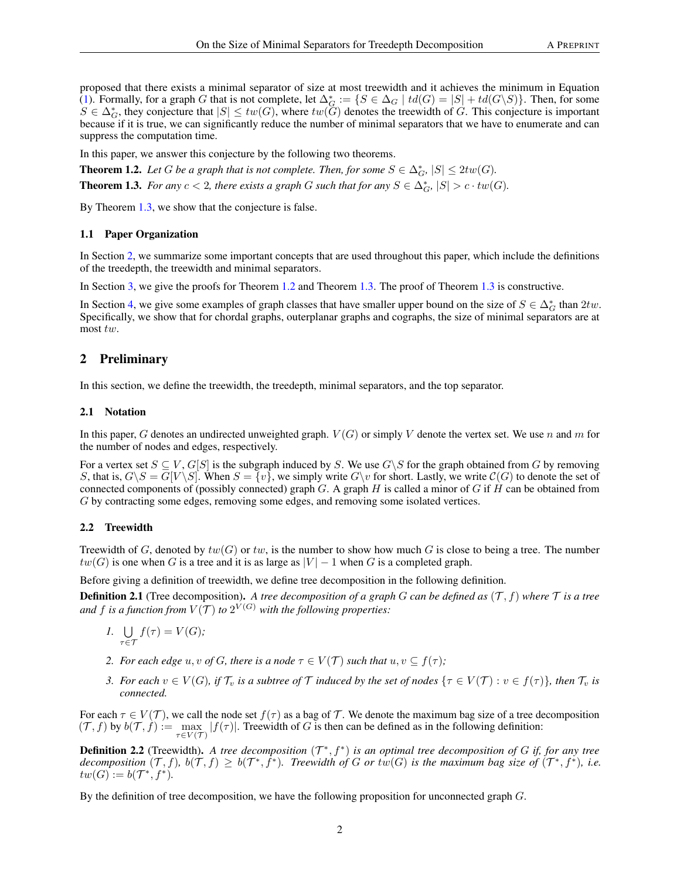proposed that there exists a minimal separator of size at most treewidth and it achieves the minimum in Equation [\(1\)](#page-0-0). Formally, for a graph G that is not complete, let  $\Delta_{G}^* := \{ S \in \Delta_G \mid td(G) = |S| + td(G \setminus S) \}$ . Then, for some  $S \in \Delta_G^*$ , they conjecture that  $|S| \leq tw(G)$ , where  $tw(G)$  denotes the treewidth of G. This conjecture is important because if it is true, we can significantly reduce the number of minimal separators that we have to enumerate and can suppress the computation time.

In this paper, we answer this conjecture by the following two theorems.

<span id="page-1-2"></span>**Theorem 1.2.** Let G be a graph that is not complete. Then, for some  $S \in \Delta_G^*$ ,  $|S| \leq 2tw(G)$ .

<span id="page-1-0"></span>**Theorem 1.3.** *For any*  $c < 2$ *, there exists a graph* G *such that for any*  $S \in \Delta_G^*$ ,  $|S| > c \cdot tw(G)$ *.* 

By Theorem [1.3,](#page-1-0) we show that the conjecture is false.

#### 1.1 Paper Organization

In Section [2,](#page-1-1) we summarize some important concepts that are used throughout this paper, which include the definitions of the treedepth, the treewidth and minimal separators.

In Section [3,](#page-3-0) we give the proofs for Theorem [1.2](#page-1-2) and Theorem [1.3.](#page-1-0) The proof of Theorem [1.3](#page-1-0) is constructive.

In Section [4,](#page-9-0) we give some examples of graph classes that have smaller upper bound on the size of  $S \in \Delta_G^*$  than  $2tw$ . Specifically, we show that for chordal graphs, outerplanar graphs and cographs, the size of minimal separators are at most tw.

## <span id="page-1-1"></span>2 Preliminary

In this section, we define the treewidth, the treedepth, minimal separators, and the top separator.

#### 2.1 Notation

In this paper, G denotes an undirected unweighted graph.  $V(G)$  or simply V denote the vertex set. We use n and m for the number of nodes and edges, respectively.

For a vertex set  $S \subseteq V$ ,  $G[S]$  is the subgraph induced by S. We use  $G\setminus S$  for the graph obtained from G by removing S, that is,  $G\setminus S = G[V\setminus S]$ . When  $S = \{v\}$ , we simply write  $G\setminus v$  for short. Lastly, we write  $C(G)$  to denote the set of connected components of (possibly connected) graph  $G$ . A graph  $H$  is called a minor of  $G$  if  $H$  can be obtained from G by contracting some edges, removing some edges, and removing some isolated vertices.

#### 2.2 Treewidth

Treewidth of G, denoted by  $tw(G)$  or tw, is the number to show how much G is close to being a tree. The number  $tw(G)$  is one when G is a tree and it is as large as  $|V| - 1$  when G is a completed graph.

Before giving a definition of treewidth, we define tree decomposition in the following definition.

**Definition 2.1** (Tree decomposition). A tree decomposition of a graph G can be defined as  $(\mathcal{T}, f)$  where  $\mathcal T$  is a tree and f is a function from  $V(\mathcal{T})$  to  $2^{V(G)}$  with the following properties:

- 1. U  $\tau \in \mathcal{T}$  $f(\tau) = V(G);$
- *2. For each edge*  $u, v$  *of*  $G$ *, there is a node*  $\tau \in V(\mathcal{T})$  *such that*  $u, v \subseteq f(\tau)$ *;*
- *3.* For each  $v \in V(G)$ , if  $\mathcal{T}_v$  is a subtree of  $\mathcal{T}$  induced by the set of nodes  $\{\tau \in V(\mathcal{T}) : v \in f(\tau)\}\)$ , then  $\mathcal{T}_v$  is *connected.*

For each  $\tau \in V(\mathcal{T})$ , we call the node set  $f(\tau)$  as a bag of T. We denote the maximum bag size of a tree decomposition  $(T, f)$  by  $b(T, f) := \max_{\tau \in V(T)} |f(\tau)|$ . Treewidth of G is then can be defined as in the following definition:

**Definition 2.2** (Treewidth). A tree decomposition  $(T^*, f^*)$  is an optimal tree decomposition of G if, for any tree decomposition  $(T, f)$ ,  $b(T, f) \geq b(T^*, f^*)$ . Treewidth of G or  $tw(G)$  is the maximum bag size of  $(T^*, f^*)$ , i.e.  $tw(G) := b(\mathcal{T}^*, f^*).$ 

By the definition of tree decomposition, we have the following proposition for unconnected graph G.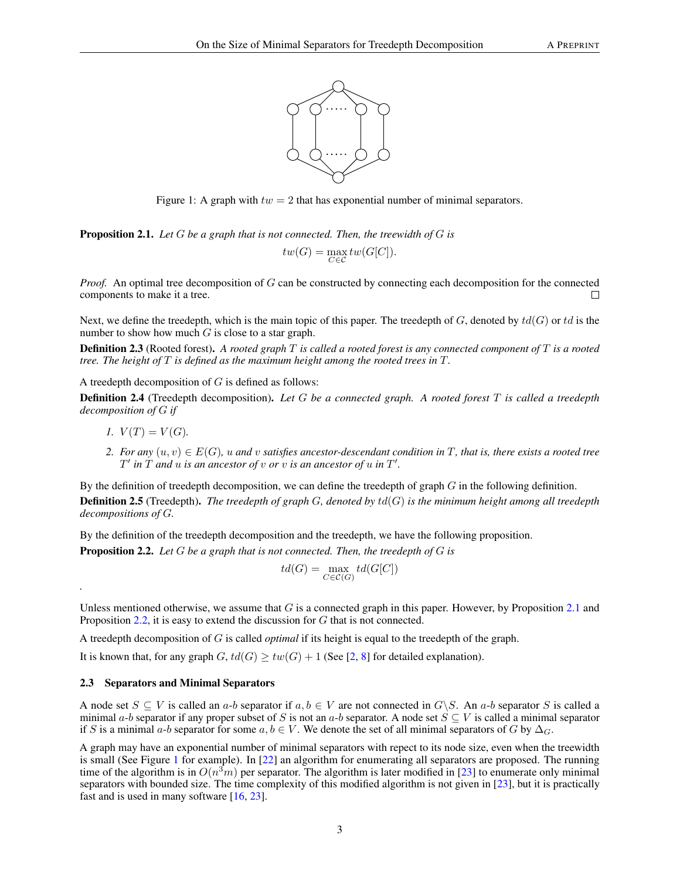

Figure 1: A graph with  $tw = 2$  that has exponential number of minimal separators.

<span id="page-2-1"></span>Proposition 2.1. *Let* G *be a graph that is not connected. Then, the treewidth of* G *is*

<span id="page-2-0"></span>
$$
tw(G) = \max_{C \in \mathcal{C}} tw(G[C]).
$$

*Proof.* An optimal tree decomposition of G can be constructed by connecting each decomposition for the connected components to make it a tree.  $\Box$ 

Next, we define the treedepth, which is the main topic of this paper. The treedepth of  $G$ , denoted by  $td(G)$  or  $td$  is the number to show how much  $G$  is close to a star graph.

Definition 2.3 (Rooted forest). *A rooted graph* T *is called a rooted forest is any connected component of* T *is a rooted tree. The height of* T *is defined as the maximum height among the rooted trees in* T*.*

A treedepth decomposition of  $G$  is defined as follows:

Definition 2.4 (Treedepth decomposition). *Let* G *be a connected graph. A rooted forest* T *is called a treedepth decomposition of* G *if*

*1.*  $V(T) = V(G)$ .

*.*

2. For any  $(u, v) \in E(G)$ , u and v satisfies ancestor-descendant condition in T, that is, there exists a rooted tree  $T'$  *in*  $\overline{T}$  *and*  $\overline{u}$  *is an ancestor of*  $\overline{v}$  *or*  $\overline{v}$  *is an ancestor of*  $\overline{u}$  *in*  $T'$ *.* 

By the definition of treedepth decomposition, we can define the treedepth of graph  $G$  in the following definition. Definition 2.5 (Treedepth). *The treedepth of graph* G*, denoted by* td(G) *is the minimum height among all treedepth decompositions of* G*.*

By the definition of the treedepth decomposition and the treedepth, we have the following proposition.

<span id="page-2-2"></span>Proposition 2.2. *Let* G *be a graph that is not connected. Then, the treedepth of* G *is*

$$
td(G) = \max_{C \in \mathcal{C}(G)} td(G[C])
$$

Unless mentioned otherwise, we assume that  $G$  is a connected graph in this paper. However, by Proposition [2.1](#page-2-1) and Proposition [2.2,](#page-2-2) it is easy to extend the discussion for G that is not connected.

A treedepth decomposition of G is called *optimal* if its height is equal to the treedepth of the graph.

It is known that, for any graph  $G, td(G) > tw(G) + 1$  (See [\[2,](#page-11-1) [8\]](#page-12-6) for detailed explanation).

## 2.3 Separators and Minimal Separators

A node set  $S \subseteq V$  is called an a-b separator if  $a, b \in V$  are not connected in  $G \backslash S$ . An a-b separator S is called a minimal a-b separator if any proper subset of S is not an a-b separator. A node set  $S \subseteq V$  is called a minimal separator if S is a minimal a-b separator for some a,  $b \in V$ . We denote the set of all minimal separators of G by  $\Delta_G$ .

A graph may have an exponential number of minimal separators with repect to its node size, even when the treewidth is small (See Figure [1](#page-2-0) for example). In [\[22\]](#page-12-14) an algorithm for enumerating all separators are proposed. The running time of the algorithm is in  $O(n^3m)$  per separator. The algorithm is later modified in [\[23\]](#page-12-15) to enumerate only minimal separators with bounded size. The time complexity of this modified algorithm is not given in [\[23\]](#page-12-15), but it is practically fast and is used in many software [\[16,](#page-12-11) [23\]](#page-12-15).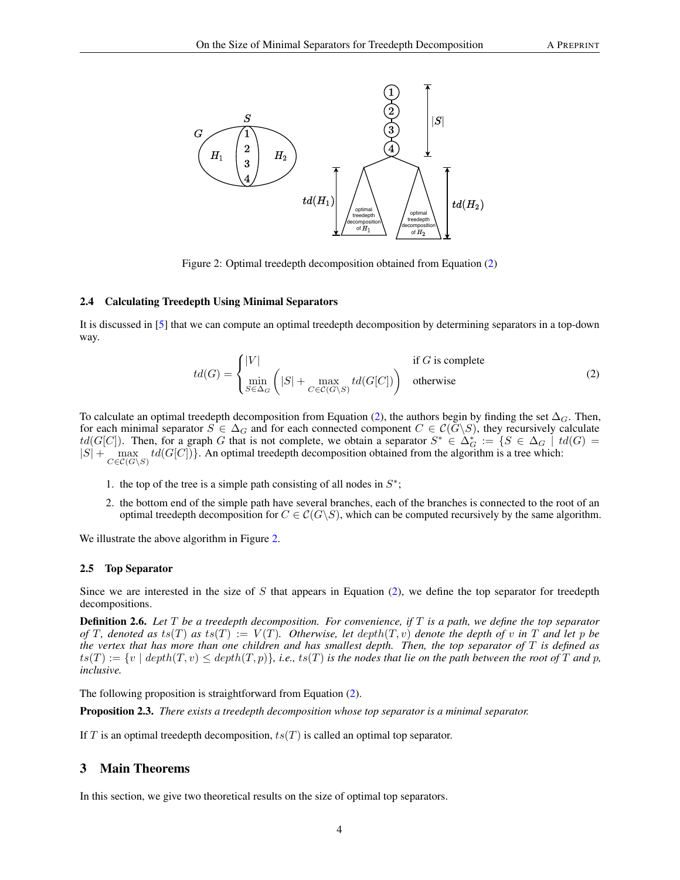

<span id="page-3-2"></span>Figure 2: Optimal treedepth decomposition obtained from Equation [\(2\)](#page-3-1)

#### 2.4 Calculating Treedepth Using Minimal Separators

It is discussed in [\[5\]](#page-12-13) that we can compute an optimal treedepth decomposition by determining separators in a top-down way.

<span id="page-3-1"></span>
$$
td(G) = \begin{cases} |V| & \text{if } G \text{ is complete} \\ \min_{S \in \Delta_G} \left( |S| + \max_{C \in \mathcal{C}(G \setminus S)} td(G[C]) \right) & \text{otherwise} \end{cases}
$$
(2)

To calculate an optimal treedepth decomposition from Equation [\(2\)](#page-3-1), the authors begin by finding the set  $\Delta_G$ . Then, for each minimal separator  $S \in \Delta_G$  and for each connected component  $C \in C(G \backslash S)$ , they recursively calculate  $td(G[C])$ . Then, for a graph G that is not complete, we obtain a separator  $S^* \in \Delta_G^* := \{S \in \Delta_G \mid td(G) = \emptyset\}$  $|S| + \max_{C \in \mathcal{C}(G \setminus S)} td(G[C])\}.$  An optimal treedepth decomposition obtained from the algorithm is a tree which:

- 1. the top of the tree is a simple path consisting of all nodes in  $S^*$ ;
- 2. the bottom end of the simple path have several branches, each of the branches is connected to the root of an optimal treedepth decomposition for  $C \in \mathcal{C}(G\backslash S)$ , which can be computed recursively by the same algorithm.

We illustrate the above algorithm in Figure [2.](#page-3-2)

#### 2.5 Top Separator

Since we are interested in the size of  $S$  that appears in Equation [\(2\)](#page-3-1), we define the top separator for treedepth decompositions.

Definition 2.6. *Let* T *be a treedepth decomposition. For convenience, if* T *is a path, we define the top separator of* T, denoted as ts(T) as ts(T) :=  $V(T)$ *. Otherwise, let*  $depth(T, v)$  *denote the depth of* v *in* T and let p be *the vertex that has more than one children and has smallest depth. Then, the top separator of* T *is defined as*  $ts(T) := \{v \mid depth(T, v) \leq depth(T, p)\},$  *i.e.,*  $ts(T)$  *is the nodes that lie on the path between the root of* T *and* p, *inclusive.*

The following proposition is straightforward from Equation [\(2\)](#page-3-1).

Proposition 2.3. *There exists a treedepth decomposition whose top separator is a minimal separator.*

If T is an optimal treedepth decomposition,  $ts(T)$  is called an optimal top separator.

## <span id="page-3-0"></span>3 Main Theorems

In this section, we give two theoretical results on the size of optimal top separators.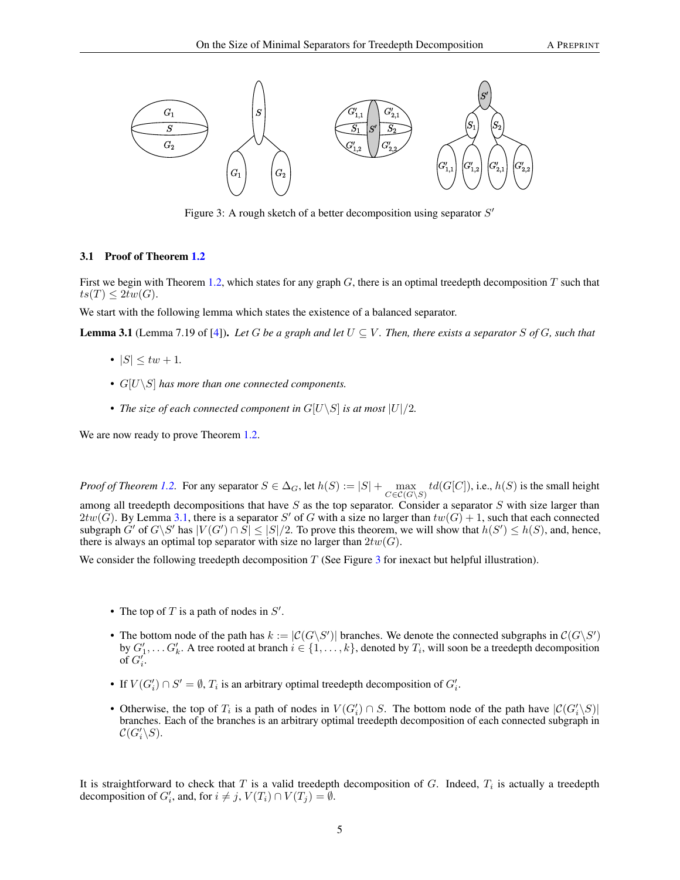

<span id="page-4-1"></span>Figure 3: A rough sketch of a better decomposition using separator  $S'$ 

## 3.1 Proof of Theorem [1.2](#page-1-2)

First we begin with Theorem [1.2,](#page-1-2) which states for any graph  $G$ , there is an optimal treedepth decomposition  $T$  such that  $ts(T) \leq 2tw(G).$ 

We start with the following lemma which states the existence of a balanced separator.

<span id="page-4-0"></span>**Lemma 3.1** (Lemma 7.19 of [\[4\]](#page-12-16)). Let G be a graph and let  $U \subseteq V$ . Then, there exists a separator S of G, such that

- $|S| \leq tw + 1$ .
- G[U\S] *has more than one connected components.*
- *The size of each connected component in*  $G[U\setminus S]$  *is at most*  $|U|/2$ *.*

We are now ready to prove Theorem [1.2.](#page-1-2)

*Proof of Theorem [1.2.](#page-1-2)* For any separator  $S \in \Delta_G$ , let  $h(S) := |S| + \max_{C \in \mathcal{C}(G \setminus S)} td(G[C])$ , i.e.,  $h(S)$  is the small height among all treedepth decompositions that have  $S$  as the top separator. Consider a separator  $S$  with size larger than  $2tw(\tilde{G})$ . By Lemma [3.1,](#page-4-0) there is a separator S' of G with a size no larger than  $tw(G) + 1$ , such that each connected subgraph  $G'$  of  $G\backslash S'$  has  $|V(G') \cap S| \leq |S|/2$ . To prove this theorem, we will show that  $h(S') \leq h(S)$ , and, hence, there is always an optimal top separator with size no larger than  $2tw(G)$ .

We consider the following treedepth decomposition T (See Figure [3](#page-4-1) for inexact but helpful illustration).

- The top of  $T$  is a path of nodes in  $S'$ .
- The bottom node of the path has  $k := |\mathcal{C}(G \backslash S')|$  branches. We denote the connected subgraphs in  $\mathcal{C}(G \backslash S')$ by  $G'_1, \ldots, G'_k$ . A tree rooted at branch  $i \in \{1, \ldots, k\}$ , denoted by  $T_i$ , will soon be a treedepth decomposition of  $G_i'$ .
- If  $V(G'_i) \cap S' = \emptyset$ ,  $T_i$  is an arbitrary optimal treedepth decomposition of  $G'_i$ .
- Otherwise, the top of  $T_i$  is a path of nodes in  $V(G_i') \cap S$ . The bottom node of the path have  $|\mathcal{C}(G_i' \setminus S)|$ branches. Each of the branches is an arbitrary optimal treedepth decomposition of each connected subgraph in  $\mathcal{C}(G_i'\backslash S).$

It is straightforward to check that T is a valid treedepth decomposition of G. Indeed,  $T_i$  is actually a treedepth decomposition of  $G'_i$ , and, for  $i \neq j$ ,  $V(T_i) \cap V(T_j) = \emptyset$ .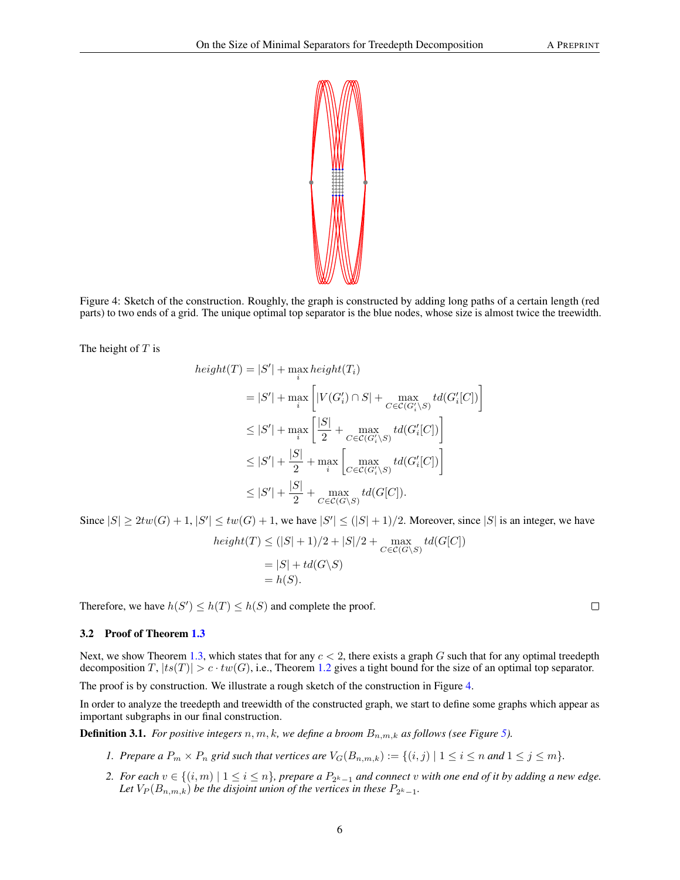

Figure 4: Sketch of the construction. Roughly, the graph is constructed by adding long paths of a certain length (red parts) to two ends of a grid. The unique optimal top separator is the blue nodes, whose size is almost twice the treewidth.

The height of  $T$  is

<span id="page-5-0"></span>
$$
height(T) = |S'| + \max_{i} height(T_i)
$$
  
\n
$$
= |S'| + \max_{i} \left[ |V(G'_i) \cap S| + \max_{C \in \mathcal{C}(G'_i \setminus S)} td(G'_i[C]) \right]
$$
  
\n
$$
\leq |S'| + \max_{i} \left[ \frac{|S|}{2} + \max_{C \in \mathcal{C}(G'_i \setminus S)} td(G'_i[C]) \right]
$$
  
\n
$$
\leq |S'| + \frac{|S|}{2} + \max_{i} \left[ \max_{C \in \mathcal{C}(G'_i \setminus S)} td(G'_i[C]) \right]
$$
  
\n
$$
\leq |S'| + \frac{|S|}{2} + \max_{C \in \mathcal{C}(G \setminus S)} td(G[C]).
$$

Since  $|S| \geq 2tw(G) + 1$ ,  $|S'| \leq tw(G) + 1$ , we have  $|S'| \leq (|S| + 1)/2$ . Moreover, since  $|S|$  is an integer, we have

$$
height(T) \le (|S| + 1)/2 + |S|/2 + \max_{C \in \mathcal{C}(G \setminus S)} td(G[C])
$$
  
= |S| + td(G \setminus S)  
= h(S).

Therefore, we have  $h(S') \leq h(T) \leq h(S)$  and complete the proof.

#### 3.2 Proof of Theorem [1.3](#page-1-0)

Next, we show Theorem [1.3,](#page-1-0) which states that for any  $c < 2$ , there exists a graph G such that for any optimal treedepth decomposition  $T$ ,  $|ts(T)| > c \cdot tw(G)$ , i.e., Theorem [1.2](#page-1-2) gives a tight bound for the size of an optimal top separator.

The proof is by construction. We illustrate a rough sketch of the construction in Figure [4.](#page-5-0)

In order to analyze the treedepth and treewidth of the constructed graph, we start to define some graphs which appear as important subgraphs in our final construction.

**Definition 3.1.** *For positive integers*  $n, m, k$ *, we define a broom*  $B_{n,m,k}$  *as follows (see Figure [5\)](#page-6-0).* 

- *1.* Prepare a  $P_m \times P_n$  grid such that vertices are  $V_G(B_{n,m,k}) := \{(i,j) | 1 \le i \le n \text{ and } 1 \le j \le m\}.$
- 2. For each  $v \in \{(i,m) \mid 1 \leq i \leq n\}$ , prepare a  $P_{2^k-1}$  and connect v with one end of it by adding a new edge. Let  $V_P(B_{n,m,k})$  be the disjoint union of the vertices in these  $P_{2^k-1}$ .

 $\Box$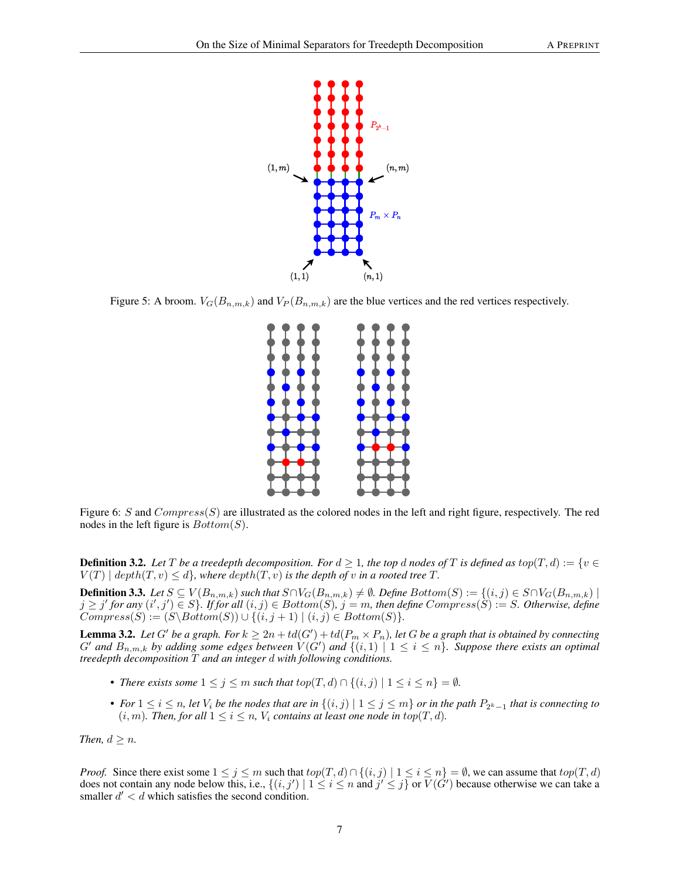

Figure 5: A broom.  $V_G(B_{n,m,k})$  and  $V_P(B_{n,m,k})$  are the blue vertices and the red vertices respectively.

<span id="page-6-0"></span>

Figure 6: S and  $Compress(S)$  are illustrated as the colored nodes in the left and right figure, respectively. The red nodes in the left figure is  $Bottom(S)$ .

**Definition 3.2.** Let T be a treedepth decomposition. For  $d \geq 1$ , the top d nodes of T is defined as  $top(T, d) := \{v \in$  $V(T) \mid depth(T, v) \leq d$ , where  $depth(T, v)$  *is the depth of v in a rooted tree T*.

**Definition 3.3.** *Let*  $S \subseteq V(B_{n,m,k})$  *such that*  $S \cap V_G(B_{n,m,k}) \neq \emptyset$ *. Define*  $Bottom(S) := \{(i,j) \in S \cap V_G(B_{n,m,k}) \mid$  $j \geq j'$  for any  $(i',j') \in S$ *}.* If for all  $(i,j) \in Bottom(S)$ ,  $j = m$ , then define  $Compress(S) := S$ . Otherwise, define  $Compress(S) := (S \setminus Bottom(S)) \cup \{(i, j + 1) \mid (i, j) \in Bottom(S)\}.$ 

<span id="page-6-1"></span>**Lemma 3.2.** Let G' be a graph. For  $k \geq 2n + td(G') + td(P_m \times P_n)$ , let G be a graph that is obtained by connecting  $G'$  and  $B_{n,m,k}$  by adding some edges between  $V(G')$  and  $\{(i,1) | 1 \le i \le n\}$ . Suppose there exists an optimal *treedepth decomposition* T *and an integer* d *with following conditions.*

- *There exists some*  $1 \leq j \leq m$  *such that*  $top(T, d) \cap \{(i, j) | 1 \leq i \leq n\} = \emptyset$ *.*
- For  $1 \le i \le n$ , let  $V_i$  be the nodes that are in  $\{(i,j) \mid 1 \le j \le m\}$  or in the path  $P_{2^k-1}$  that is connecting to  $(i, m)$ *. Then, for all*  $1 \leq i \leq n$ *, V<sub>i</sub> contains at least one node in top* $(T, d)$ *.*

*Then,*  $d \geq n$ *.* 

*Proof.* Since there exist some  $1 \le j \le m$  such that  $top(T, d) \cap \{(i, j) | 1 \le i \le n\} = \emptyset$ , we can assume that  $top(T, d)$ does not contain any node below this, i.e.,  $\{(i, j') \mid 1 \le i \le n \text{ and } j' \le j\}$  or  $V(G')$  because otherwise we can take a smaller  $d' < d$  which satisfies the second condition.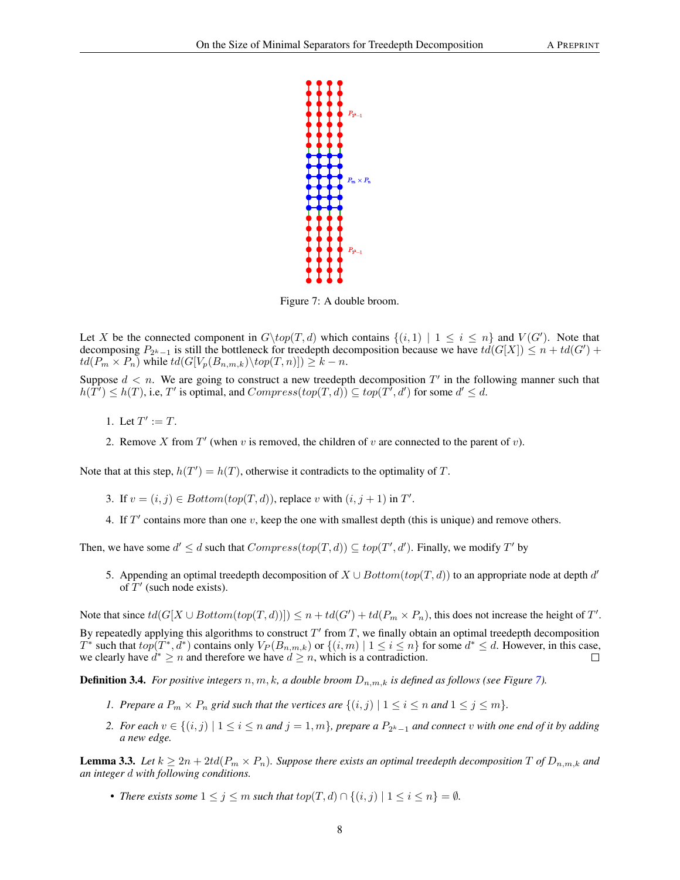

<span id="page-7-0"></span>Figure 7: A double broom.

Let X be the connected component in  $G\backslash top(T, d)$  which contains  $\{(i, 1) | 1 \le i \le n\}$  and  $V(G')$ . Note that decomposing  $P_{2^k-1}$  is still the bottleneck for treedepth decomposition because we have  $td(G[X]) \leq n + td(G') +$  $td(P_m \times P_n)$  while  $td(G[V_p(B_{n,m,k}) \setminus top(T, n)]) \geq k - n$ .

Suppose  $d < n$ . We are going to construct a new treedepth decomposition  $T'$  in the following manner such that  $h(\tilde{T}') \leq h(T)$ , i.e, T' is optimal, and  $Compress(top(T, d)) \subseteq top(T^7, d')$  for some  $d' \leq d$ .

1. Let  $T' := T$ .

2. Remove X from  $T'$  (when v is removed, the children of v are connected to the parent of v).

Note that at this step,  $h(T') = h(T)$ , otherwise it contradicts to the optimality of T.

- 3. If  $v = (i, j) \in Bottom(top(T, d))$ , replace v with  $(i, j + 1)$  in  $T'$ .
- 4. If  $T'$  contains more than one  $v$ , keep the one with smallest depth (this is unique) and remove others.

Then, we have some  $d' \leq d$  such that  $Compress(top(T, d)) \subseteq top(T', d')$ . Finally, we modify T' by

5. Appending an optimal treedepth decomposition of  $X \cup Bottom(top(T, d))$  to an appropriate node at depth d' of  $T'$  (such node exists).

Note that since  $td(G[X \cup Bottom(top(T, d))]) \leq n + td(G') + td(P_m \times P_n)$ , this does not increase the height of T'.

By repeatedly applying this algorithms to construct  $T'$  from  $T$ , we finally obtain an optimal treedepth decomposition  $T^*$  such that  $top(\overline{T^*}, \overline{d^*})$  contains only  $V_P(B_{n,m,k})$  or  $\{(i,m) \mid 1 \le i \le n\}$  for some  $d^* \le d$ . However, in this case, we clearly have  $d^* \ge n$  and therefore we have  $d \ge n$ , which is a contradiction.  $\Box$ 

**Definition 3.4.** For positive integers  $n, m, k, a$  double broom  $D_{n,m,k}$  is defined as follows (see Figure [7\)](#page-7-0).

- *1. Prepare a*  $P_m \times P_n$  *grid such that the vertices are*  $\{(i, j) | 1 \le i \le n \text{ and } 1 \le j \le m\}.$
- 2. For each  $v \in \{(i,j) \mid 1 \leq i \leq n \text{ and } j = 1, m\}$ , prepare a  $P_{2^k-1}$  and connect v with one end of it by adding *a new edge.*

<span id="page-7-1"></span>**Lemma 3.3.** Let  $k \ge 2n + 2td(P_m \times P_n)$ . Suppose there exists an optimal treedepth decomposition  $T$  of  $D_{n,m,k}$  and *an integer* d *with following conditions.*

• *There exists some*  $1 \leq j \leq m$  *such that*  $top(T, d) \cap \{(i, j) | 1 \leq i \leq n\} = \emptyset$ *.*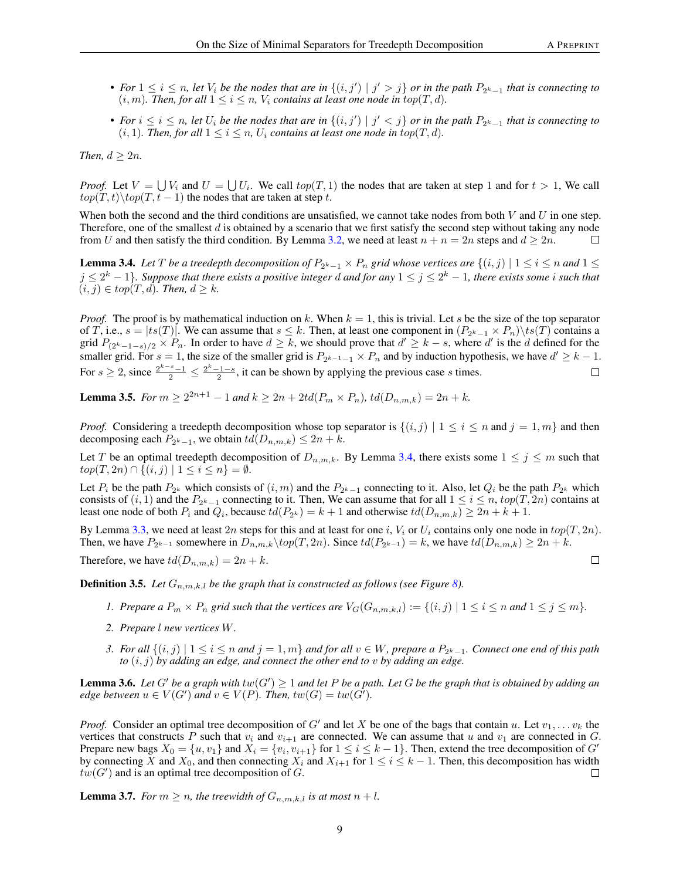- For  $1 \le i \le n$ , let  $V_i$  be the nodes that are in  $\{(i,j') \mid j' > j\}$  or in the path  $P_{2^k-1}$  that is connecting to  $(i, m)$ *. Then, for all*  $1 \leq i \leq n$ *, V<sub>i</sub> contains at least one node in top* $(T, d)$ *.*
- For  $i \leq i \leq n$ , let  $U_i$  be the nodes that are in  $\{(i,j') \mid j' < j\}$  or in the path  $P_{2^k-1}$  that is connecting to  $(i, 1)$ *. Then, for all*  $1 \leq i \leq n$ *,*  $U_i$  *contains at least one node in top* $(T, d)$ *.*

*Then,*  $d > 2n$ *.* 

*Proof.* Let  $V = \bigcup V_i$  and  $U = \bigcup U_i$ . We call  $top(T, 1)$  the nodes that are taken at step 1 and for  $t > 1$ , We call  $top(T, t) \setminus top(T, t - 1)$  the nodes that are taken at step t.

When both the second and the third conditions are unsatisfied, we cannot take nodes from both  $V$  and  $U$  in one step. Therefore, one of the smallest  $d$  is obtained by a scenario that we first satisfy the second step without taking any node from U and then satisfy the third condition. By Lemma [3.2,](#page-6-1) we need at least  $n + n = 2n$  steps and  $d \ge 2n$ .  $\Box$ 

<span id="page-8-0"></span>**Lemma 3.4.** Let T be a treedepth decomposition of  $P_{2^k-1}\times P_n$  grid whose vertices are  $\{(i,j) \mid 1\leq i\leq n$  and  $1\leq$  $j \leq 2^k-1$ }. Suppose that there exists a positive integer  $d$  and for any  $1 \leq j \leq 2^k-1$ , there exists some  $i$  such that  $(i, j) \in top(T, d)$ . Then,  $d \geq k$ .

*Proof.* The proof is by mathematical induction on k. When  $k = 1$ , this is trivial. Let s be the size of the top separator of T, i.e.,  $s = |ts(T)|$ . We can assume that  $s \leq k$ . Then, at least one component in  $(P_{2^k-1} \times P_n) \backslash ts(T)$  contains a grid  $P_{(2^k-1-s)/2} \times P_n$ . In order to have  $d \geq k$ , we should prove that  $d' \geq k-s$ , where  $d'$  is the d defined for the smaller grid. For  $s = 1$ , the size of the smaller grid is  $P_{2^{k-1}-1} \times P_n$  and by induction hypothesis, we have  $d' \geq k - 1$ . For  $s \ge 2$ , since  $\frac{2^{k-s}-1}{2} \le \frac{2^k-1-s}{2}$ , it can be shown by applying the previous case s times.

**Lemma 3.5.** *For*  $m \ge 2^{2n+1} - 1$  *and*  $k \ge 2n + 2td(P_m \times P_n)$ ,  $td(D_{n,m,k}) = 2n + k$ *.* 

*Proof.* Considering a treedepth decomposition whose top separator is  $\{(i, j) | 1 \le i \le n \text{ and } j = 1, m\}$  and then decomposing each  $P_{2^k-1}$ , we obtain  $td(D_{n,m,k}) \leq 2n+k$ .

Let T be an optimal treedepth decomposition of  $D_{n,m,k}$ . By Lemma [3.4,](#page-8-0) there exists some  $1 \le j \le m$  such that  $top(T, 2n) ∩ \{(i, j) | 1 \le i \le n\} = ∅.$ 

Let  $P_i$  be the path  $P_{2^k}$  which consists of  $(i, m)$  and the  $P_{2^k-1}$  connecting to it. Also, let  $Q_i$  be the path  $P_{2^k}$  which consists of  $(i, 1)$  and the  $P_{2^k-1}$  connecting to it. Then, We can assume that for all  $1 \le i \le n$ ,  $top(T, 2n)$  contains at least one node of both  $P_i$  and  $Q_i$ , because  $td(P_{2^k}) = k + 1$  and otherwise  $td(D_{n,m,k}) \ge 2n + k + 1$ .

By Lemma [3.3,](#page-7-1) we need at least  $2n$  steps for this and at least for one i,  $V_i$  or  $U_i$  contains only one node in  $top(T, 2n)$ . Then, we have  $P_{2^{k-1}}$  somewhere in  $D_{n,m,k}\setminus top(T,2n)$ . Since  $td(P_{2^{k-1}})=k$ , we have  $td(D_{n,m,k})\geq 2n+k$ .

Therefore, we have  $td(D_{n,m,k}) = 2n + k$ .

 $\Box$ 

**Definition 3.5.** Let  $G_{n,m,k,l}$  be the graph that is constructed as follows (see Figure [8\)](#page-9-1).

- *1.* Prepare a  $P_m \times P_n$  grid such that the vertices are  $V_G(G_{n,m,k,l}) := \{(i,j) \mid 1 \le i \le n \text{ and } 1 \le j \le m\}.$
- *2. Prepare* l *new vertices* W*.*
- *3. For all*  $\{(i,j) \mid 1 \le i \le n \text{ and } j = 1, m\}$  and for all  $v ∈ W$ , prepare a  $P_{2^k-1}$ . Connect one end of this path *to* (i, j) *by adding an edge, and connect the other end to* v *by adding an edge.*

<span id="page-8-1"></span>**Lemma 3.6.** Let G' be a graph with  $tw(G') \geq 1$  and let P be a path. Let G be the graph that is obtained by adding an *edge between*  $u \in V(G')$  and  $v \in V(P)$ . Then,  $tw(G) = tw(G')$ .

*Proof.* Consider an optimal tree decomposition of G' and let X be one of the bags that contain u. Let  $v_1, \ldots v_k$  the vertices that constructs P such that  $v_i$  and  $v_{i+1}$  are connected. We can assume that u and  $v_1$  are connected in G. Prepare new bags  $X_0 = \{u, v_1\}$  and  $X_i = \{v_i, v_{i+1}\}$  for  $1 \le i \le k-1\}$ . Then, extend the tree decomposition of  $G'$ by connecting X and  $X_0$ , and then connecting  $X_i$  and  $X_{i+1}$  for  $1 \le i \le k-1$ . Then, this decomposition has width  $tw(G')$  and is an optimal tree decomposition of G.  $\Box$ 

<span id="page-8-2"></span>**Lemma 3.7.** *For*  $m \ge n$ *, the treewidth of*  $G_{n,m,k,l}$  *is at most*  $n + l$ *.*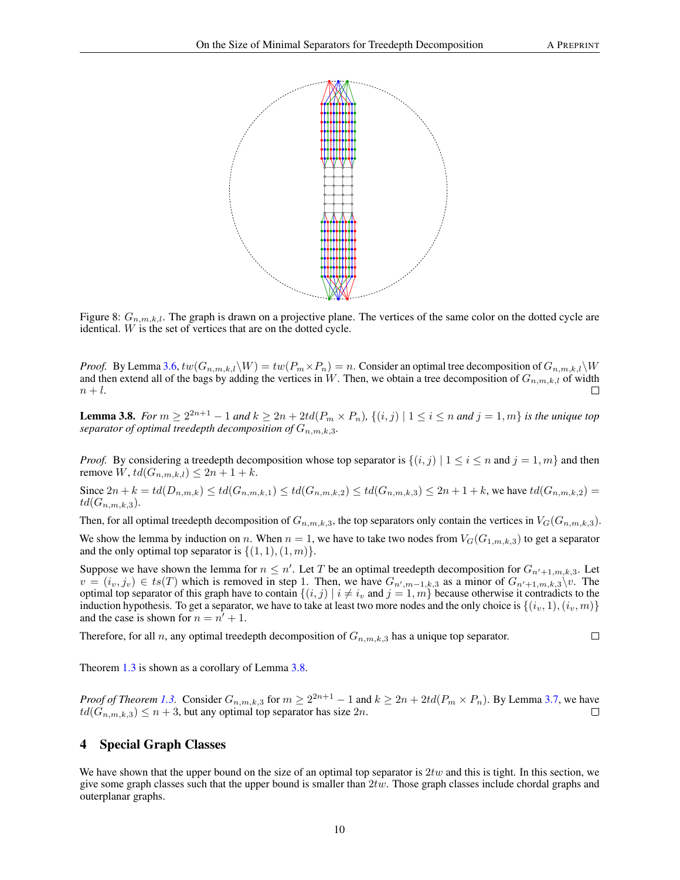$\Box$ 

<span id="page-9-1"></span>

Figure 8:  $G_{n,m,k,l}$ . The graph is drawn on a projective plane. The vertices of the same color on the dotted cycle are identical. W is the set of vertices that are on the dotted cycle.

*Proof.* By Lemma [3.6,](#page-8-1)  $tw(G_{n,m,k,l}\backslash W) = tw(P_m \times P_n) = n$ . Consider an optimal tree decomposition of  $G_{n,m,k,l}\backslash W$ and then extend all of the bags by adding the vertices in W. Then, we obtain a tree decomposition of  $G_{n,m,k,l}$  of width  $n+l.$ 

<span id="page-9-2"></span>**Lemma 3.8.** *For*  $m \ge 2^{2n+1} - 1$  *and*  $k \ge 2n + 2td(P_m \times P_n)$ ,  $\{(i, j) | 1 \le i \le n \text{ and } j = 1, m\}$  *is the unique top separator of optimal treedepth decomposition of*  $G_{n,m,k,3}$ .

*Proof.* By considering a treedepth decomposition whose top separator is  $\{(i, j) | 1 \le i \le n \text{ and } j = 1, m\}$  and then remove W,  $td(G_{n,m,k,l}) \leq 2n + 1 + k$ .

Since  $2n + k = td(D_{n,m,k}) \le td(G_{n,m,k,1}) \le td(G_{n,m,k,2}) \le td(G_{n,m,k,3}) \le 2n + 1 + k$ , we have  $td(G_{n,m,k,2}) =$  $td(G_{n,m,k,3}).$ 

Then, for all optimal treedepth decomposition of  $G_{n,m,k,3}$ , the top separators only contain the vertices in  $V_G(G_{n,m,k,3})$ .

We show the lemma by induction on n. When  $n = 1$ , we have to take two nodes from  $V_G(G_{1,m,k,3})$  to get a separator and the only optimal top separator is  $\{(1, 1), (1, m)\}.$ 

Suppose we have shown the lemma for  $n \leq n'$ . Let T be an optimal treedepth decomposition for  $G_{n'+1,m,k,3}$ . Let  $v = (i_v, j_v) \in ts(T)$  which is removed in step 1. Then, we have  $G_{n',m-1,k,3}$  as a minor of  $G_{n'+1,m,k,3}\$ . optimal top separator of this graph have to contain  $\{(i, j) | i \neq i_v \text{ and } j = 1, m\}$  because otherwise it contradicts to the induction hypothesis. To get a separator, we have to take at least two more nodes and the only choice is  $\{(i_v, 1), (i_v, m)\}$ and the case is shown for  $n = n^{\gamma} + 1$ .

Therefore, for all n, any optimal treedepth decomposition of  $G_{n,m,k,3}$  has a unique top separator.

Theorem [1.3](#page-1-0) is shown as a corollary of Lemma [3.8.](#page-9-2)

*Proof of Theorem [1.3.](#page-1-0)* Consider  $G_{n,m,k,3}$  for  $m \ge 2^{2n+1} - 1$  and  $k \ge 2n + 2td(P_m \times P_n)$ . By Lemma [3.7,](#page-8-2) we have  $td(G_{n,m,k,3}) \leq n+3$ , but any optimal top separator has size  $2n$ .  $\Box$ 

# <span id="page-9-0"></span>4 Special Graph Classes

We have shown that the upper bound on the size of an optimal top separator is  $2tw$  and this is tight. In this section, we give some graph classes such that the upper bound is smaller than  $2tw$ . Those graph classes include chordal graphs and outerplanar graphs.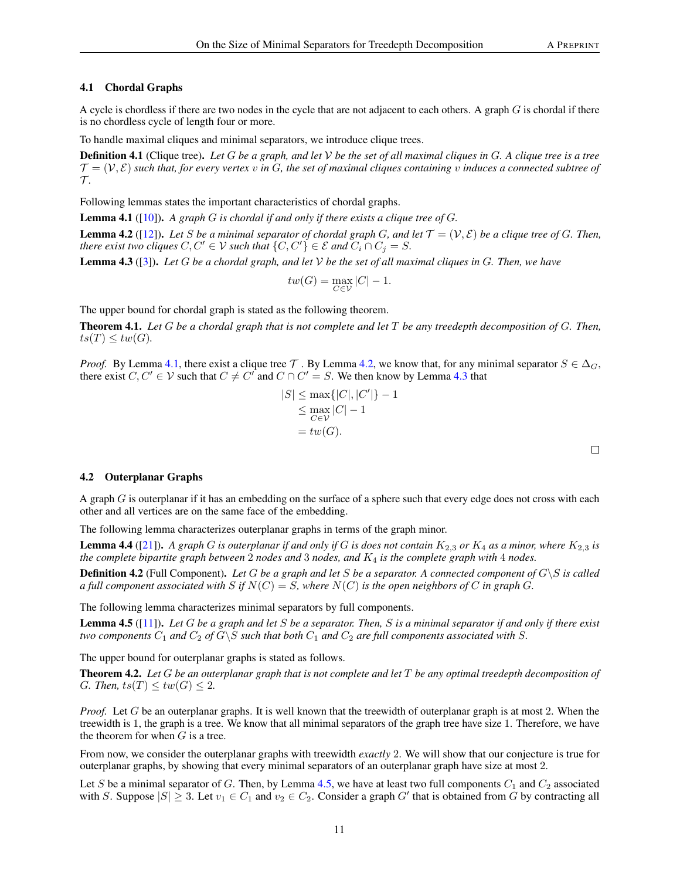## 4.1 Chordal Graphs

A cycle is chordless if there are two nodes in the cycle that are not adjacent to each others. A graph  $G$  is chordal if there is no chordless cycle of length four or more.

To handle maximal cliques and minimal separators, we introduce clique trees.

Definition 4.1 (Clique tree). *Let* G *be a graph, and let* V *be the set of all maximal cliques in* G*. A clique tree is a tree*  $\mathcal{T} = (\mathcal{V}, \mathcal{E})$  such that, for every vertex v in G, the set of maximal cliques containing v induces a connected subtree of  $\tau$ .

Following lemmas states the important characteristics of chordal graphs.

<span id="page-10-0"></span>Lemma 4.1 ([\[10\]](#page-12-17)). *A graph* G *is chordal if and only if there exists a clique tree of* G*.*

<span id="page-10-1"></span>**Lemma 4.2** ([\[12\]](#page-12-18)). Let S be a minimal separator of chordal graph G, and let  $\mathcal{T} = (\mathcal{V}, \mathcal{E})$  be a clique tree of G. Then, *there exist two cliques*  $C, C' \in V$  *such that*  $\{C, C'\} \in \mathcal{E}$  *and*  $C_i \cap C_j = S$ *.* 

<span id="page-10-2"></span>Lemma 4.3 ([\[3\]](#page-11-2)). *Let* G *be a chordal graph, and let* V *be the set of all maximal cliques in* G*. Then, we have*

$$
tw(G) = \max_{C \in \mathcal{V}} |C| - 1.
$$

The upper bound for chordal graph is stated as the following theorem.

Theorem 4.1. *Let* G *be a chordal graph that is not complete and let* T *be any treedepth decomposition of* G*. Then,*  $ts(T) \leq tw(G)$ .

*Proof.* By Lemma [4.1,](#page-10-0) there exist a clique tree  $\mathcal T$ . By Lemma [4.2,](#page-10-1) we know that, for any minimal separator  $S \in \Delta_G$ , there exist  $C, C' \in V$  such that  $C \neq C'$  and  $C \cap C' = S$ . We then know by Lemma [4.3](#page-10-2) that

$$
|S| \le \max\{|C|, |C'|\} - 1
$$
  
\n
$$
\le \max_{C \in \mathcal{V}} |C| - 1
$$
  
\n
$$
= tw(G).
$$

#### 4.2 Outerplanar Graphs

A graph  $G$  is outerplanar if it has an embedding on the surface of a sphere such that every edge does not cross with each other and all vertices are on the same face of the embedding.

The following lemma characterizes outerplanar graphs in terms of the graph minor.

<span id="page-10-4"></span>**Lemma 4.4** ([\[21\]](#page-12-19)). A graph G is outerplanar if and only if G is does not contain  $K_{2,3}$  or  $K_4$  as a minor, where  $K_{2,3}$  is *the complete bipartite graph between* 2 *nodes and* 3 *nodes, and* K<sup>4</sup> *is the complete graph with* 4 *nodes.*

**Definition 4.2** (Full Component). Let G be a graph and let S be a separator. A connected component of  $G \ S$  is called *a full component associated with* S *if*  $N(C) = S$ *, where*  $N(C)$  *is the open neighbors of* C *in graph* G.

The following lemma characterizes minimal separators by full components.

<span id="page-10-3"></span>Lemma 4.5 ([\[11\]](#page-12-20)). *Let* G *be a graph and let* S *be a separator. Then,* S *is a minimal separator if and only if there exist two components*  $C_1$  *and*  $C_2$  *of*  $G \ S$  *such that both*  $C_1$  *and*  $C_2$  *are full components associated with* S.

The upper bound for outerplanar graphs is stated as follows.

<span id="page-10-5"></span>Theorem 4.2. *Let* G *be an outerplanar graph that is not complete and let* T *be any optimal treedepth decomposition of G. Then,*  $ts(T) \leq tw(G) \leq 2$ .

*Proof.* Let G be an outerplanar graphs. It is well known that the treewidth of outerplanar graph is at most 2. When the treewidth is 1, the graph is a tree. We know that all minimal separators of the graph tree have size 1. Therefore, we have the theorem for when  $G$  is a tree.

From now, we consider the outerplanar graphs with treewidth *exactly* 2. We will show that our conjecture is true for outerplanar graphs, by showing that every minimal separators of an outerplanar graph have size at most 2.

Let S be a minimal separator of G. Then, by Lemma [4.5,](#page-10-3) we have at least two full components  $C_1$  and  $C_2$  associated with S. Suppose  $|S| \geq 3$ . Let  $v_1 \in C_1$  and  $v_2 \in C_2$ . Consider a graph G' that is obtained from G by contracting all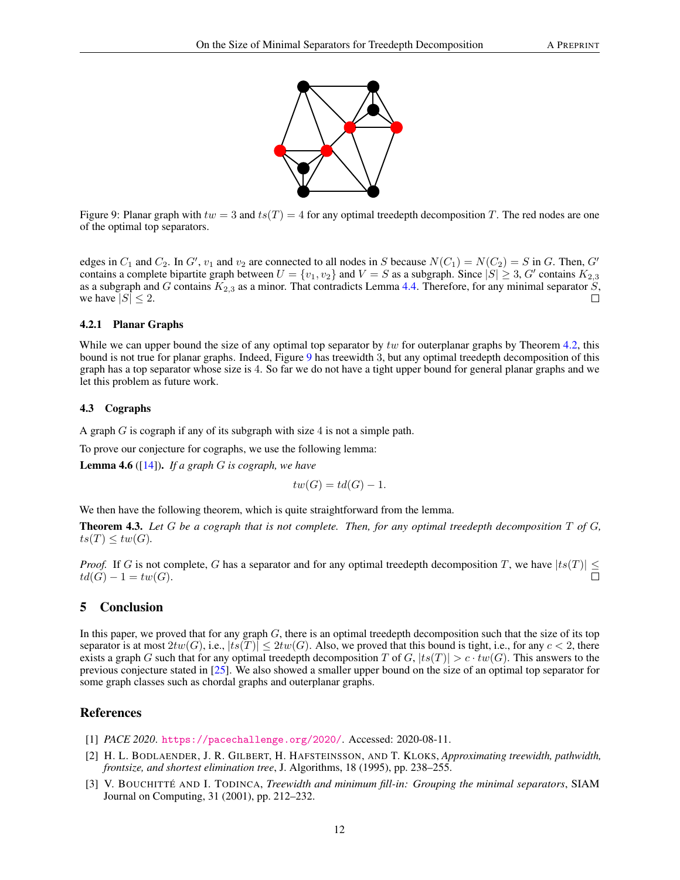<span id="page-11-3"></span>

Figure 9: Planar graph with  $tw = 3$  and  $ts(T) = 4$  for any optimal treedepth decomposition T. The red nodes are one of the optimal top separators.

edges in  $C_1$  and  $C_2$ . In  $G'$ ,  $v_1$  and  $v_2$  are connected to all nodes in S because  $N(C_1) = N(C_2) = S$  in G. Then,  $G'$ contains a complete bipartite graph between  $U = \{v_1, v_2\}$  and  $V = S$  as a subgraph. Since  $|S| \ge 3$ ,  $G'$  contains  $K_{2,3}$ as a subgraph and G contains  $K_{2,3}$  as a minor. That contradicts Lemma [4.4.](#page-10-4) Therefore, for any minimal separator S, we have  $|S| \leq 2$ .  $\Box$ 

## 4.2.1 Planar Graphs

While we can upper bound the size of any optimal top separator by tw for outerplanar graphs by Theorem [4.2,](#page-10-5) this bound is not true for planar graphs. Indeed, Figure [9](#page-11-3) has treewidth 3, but any optimal treedepth decomposition of this graph has a top separator whose size is 4. So far we do not have a tight upper bound for general planar graphs and we let this problem as future work.

## 4.3 Cographs

A graph  $G$  is cograph if any of its subgraph with size 4 is not a simple path.

To prove our conjecture for cographs, we use the following lemma:

Lemma 4.6 ([\[14\]](#page-12-21)). *If a graph* G *is cograph, we have*

 $tw(G) = td(G) - 1.$ 

We then have the following theorem, which is quite straightforward from the lemma.

Theorem 4.3. *Let* G *be a cograph that is not complete. Then, for any optimal treedepth decomposition* T *of* G*,*  $ts(T) \leq tw(G)$ .

*Proof.* If G is not complete, G has a separator and for any optimal treedepth decomposition T, we have  $|ts(T)| \leq$  $td(G) - 1 = tw(G).$ 

# 5 Conclusion

In this paper, we proved that for any graph  $G$ , there is an optimal treedepth decomposition such that the size of its top separator is at most  $2tw(G)$ , i.e.,  $|ts(T)| \leq 2tw(G)$ . Also, we proved that this bound is tight, i.e., for any  $c < 2$ , there exists a graph G such that for any optimal treedepth decomposition T of G,  $|ts(T)| > c \cdot tw(G)$ . This answers to the previous conjecture stated in [\[25\]](#page-12-12). We also showed a smaller upper bound on the size of an optimal top separator for some graph classes such as chordal graphs and outerplanar graphs.

# References

- <span id="page-11-0"></span>[1] *PACE 2020*. <https://pacechallenge.org/2020/>. Accessed: 2020-08-11.
- <span id="page-11-1"></span>[2] H. L. BODLAENDER, J. R. GILBERT, H. HAFSTEINSSON, AND T. KLOKS, *Approximating treewidth, pathwidth, frontsize, and shortest elimination tree*, J. Algorithms, 18 (1995), pp. 238–255.
- <span id="page-11-2"></span>[3] V. BOUCHITTÉ AND I. TODINCA, *Treewidth and minimum fill-in: Grouping the minimal separators*, SIAM Journal on Computing, 31 (2001), pp. 212–232.